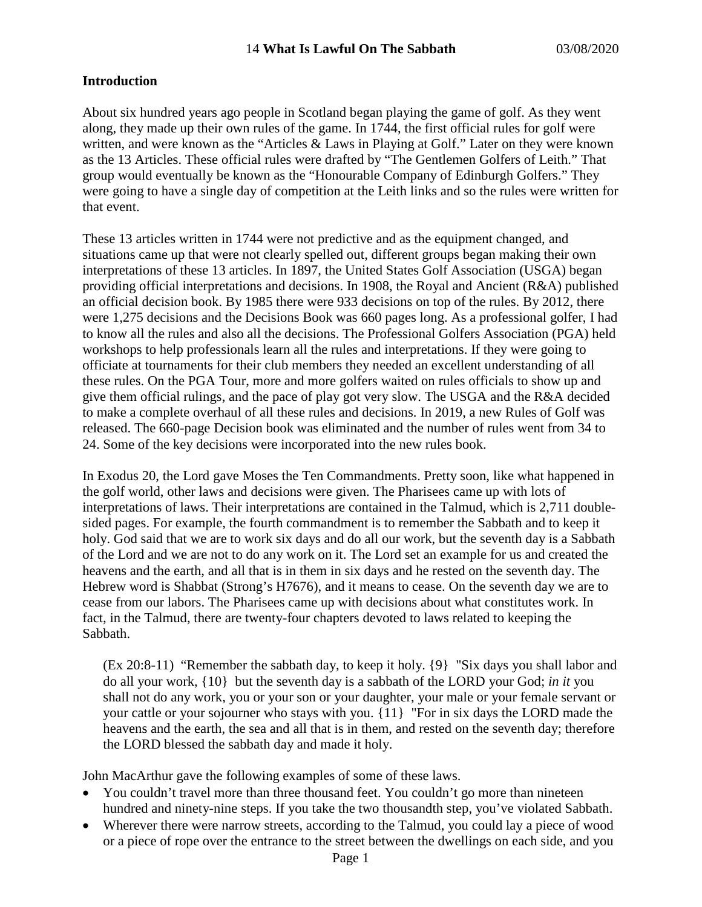### **Introduction**

About six hundred years ago people in Scotland began playing the game of golf. As they went along, they made up their own rules of the game. In 1744, the first official rules for golf were written, and were known as the "Articles & Laws in Playing at Golf." Later on they were known as the 13 Articles. These official rules were drafted by "The Gentlemen Golfers of Leith." That group would eventually be known as the "Honourable Company of Edinburgh Golfers." They were going to have a single day of competition at the Leith links and so the rules were written for that event.

These 13 articles written in 1744 were not predictive and as the equipment changed, and situations came up that were not clearly spelled out, different groups began making their own interpretations of these 13 articles. In 1897, the United States Golf Association (USGA) began providing official interpretations and decisions. In 1908, the Royal and Ancient (R&A) published an official decision book. By 1985 there were 933 decisions on top of the rules. By 2012, there were 1,275 decisions and the Decisions Book was 660 pages long. As a professional golfer, I had to know all the rules and also all the decisions. The Professional Golfers Association (PGA) held workshops to help professionals learn all the rules and interpretations. If they were going to officiate at tournaments for their club members they needed an excellent understanding of all these rules. On the PGA Tour, more and more golfers waited on rules officials to show up and give them official rulings, and the pace of play got very slow. The USGA and the R&A decided to make a complete overhaul of all these rules and decisions. In 2019, a new Rules of Golf was released. The 660-page Decision book was eliminated and the number of rules went from 34 to 24. Some of the key decisions were incorporated into the new rules book.

In Exodus 20, the Lord gave Moses the Ten Commandments. Pretty soon, like what happened in the golf world, other laws and decisions were given. The Pharisees came up with lots of interpretations of laws. Their interpretations are contained in the Talmud, which is 2,711 doublesided pages. For example, the fourth commandment is to remember the Sabbath and to keep it holy. God said that we are to work six days and do all our work, but the seventh day is a Sabbath of the Lord and we are not to do any work on it. The Lord set an example for us and created the heavens and the earth, and all that is in them in six days and he rested on the seventh day. The Hebrew word is Shabbat (Strong's H7676), and it means to cease. On the seventh day we are to cease from our labors. The Pharisees came up with decisions about what constitutes work. In fact, in the Talmud, there are twenty-four chapters devoted to laws related to keeping the Sabbath.

(Ex 20:8-11) "Remember the sabbath day, to keep it holy. {9} "Six days you shall labor and do all your work, {10} but the seventh day is a sabbath of the LORD your God; *in it* you shall not do any work, you or your son or your daughter, your male or your female servant or your cattle or your sojourner who stays with you. {11} "For in six days the LORD made the heavens and the earth, the sea and all that is in them, and rested on the seventh day; therefore the LORD blessed the sabbath day and made it holy.

John MacArthur gave the following examples of some of these laws.

- You couldn't travel more than three thousand feet. You couldn't go more than nineteen hundred and ninety-nine steps. If you take the two thousandth step, you've violated Sabbath.
- Wherever there were narrow streets, according to the Talmud, you could lay a piece of wood or a piece of rope over the entrance to the street between the dwellings on each side, and you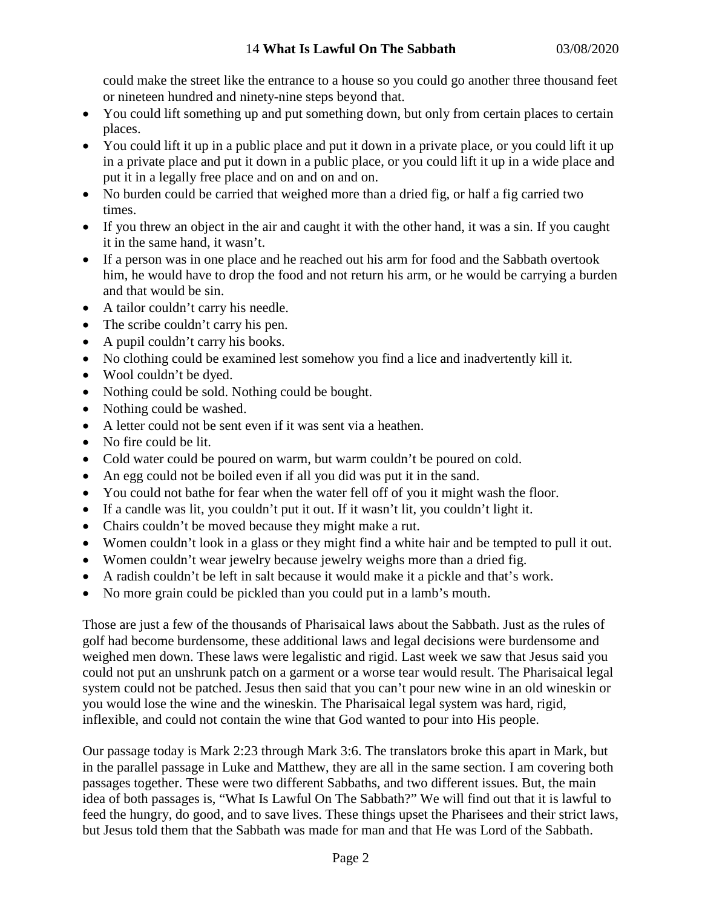could make the street like the entrance to a house so you could go another three thousand feet or nineteen hundred and ninety-nine steps beyond that.

- You could lift something up and put something down, but only from certain places to certain places.
- You could lift it up in a public place and put it down in a private place, or you could lift it up in a private place and put it down in a public place, or you could lift it up in a wide place and put it in a legally free place and on and on and on.
- No burden could be carried that weighed more than a dried fig, or half a fig carried two times.
- If you threw an object in the air and caught it with the other hand, it was a sin. If you caught it in the same hand, it wasn't.
- If a person was in one place and he reached out his arm for food and the Sabbath overtook him, he would have to drop the food and not return his arm, or he would be carrying a burden and that would be sin.
- A tailor couldn't carry his needle.
- The scribe couldn't carry his pen.
- A pupil couldn't carry his books.
- No clothing could be examined lest somehow you find a lice and inadvertently kill it.
- Wool couldn't be dyed.
- Nothing could be sold. Nothing could be bought.
- Nothing could be washed.
- A letter could not be sent even if it was sent via a heathen.
- No fire could be lit.
- Cold water could be poured on warm, but warm couldn't be poured on cold.
- An egg could not be boiled even if all you did was put it in the sand.
- You could not bathe for fear when the water fell off of you it might wash the floor.
- If a candle was lit, you couldn't put it out. If it wasn't lit, you couldn't light it.
- Chairs couldn't be moved because they might make a rut.
- Women couldn't look in a glass or they might find a white hair and be tempted to pull it out.
- Women couldn't wear jewelry because jewelry weighs more than a dried fig.
- A radish couldn't be left in salt because it would make it a pickle and that's work.
- No more grain could be pickled than you could put in a lamb's mouth.

Those are just a few of the thousands of Pharisaical laws about the Sabbath. Just as the rules of golf had become burdensome, these additional laws and legal decisions were burdensome and weighed men down. These laws were legalistic and rigid. Last week we saw that Jesus said you could not put an unshrunk patch on a garment or a worse tear would result. The Pharisaical legal system could not be patched. Jesus then said that you can't pour new wine in an old wineskin or you would lose the wine and the wineskin. The Pharisaical legal system was hard, rigid, inflexible, and could not contain the wine that God wanted to pour into His people.

Our passage today is Mark 2:23 through Mark 3:6. The translators broke this apart in Mark, but in the parallel passage in Luke and Matthew, they are all in the same section. I am covering both passages together. These were two different Sabbaths, and two different issues. But, the main idea of both passages is, "What Is Lawful On The Sabbath?" We will find out that it is lawful to feed the hungry, do good, and to save lives. These things upset the Pharisees and their strict laws, but Jesus told them that the Sabbath was made for man and that He was Lord of the Sabbath.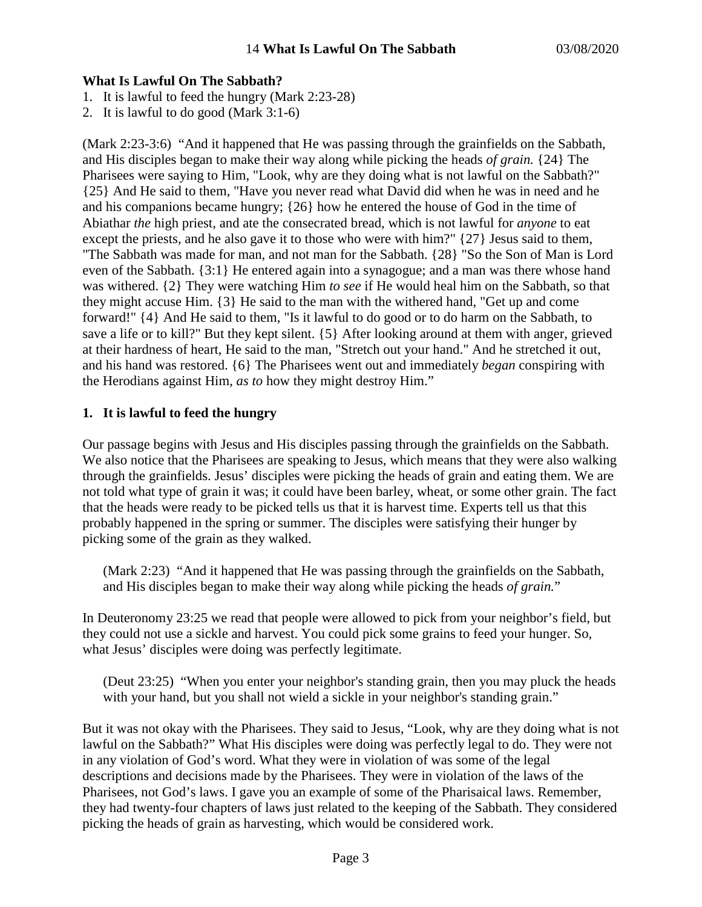### **What Is Lawful On The Sabbath?**

- 1. It is lawful to feed the hungry (Mark 2:23-28)
- 2. It is lawful to do good (Mark 3:1-6)

(Mark 2:23-3:6) "And it happened that He was passing through the grainfields on the Sabbath, and His disciples began to make their way along while picking the heads *of grain.* {24} The Pharisees were saying to Him, "Look, why are they doing what is not lawful on the Sabbath?" {25} And He said to them, "Have you never read what David did when he was in need and he and his companions became hungry; {26} how he entered the house of God in the time of Abiathar *the* high priest, and ate the consecrated bread, which is not lawful for *anyone* to eat except the priests, and he also gave it to those who were with him?" {27} Jesus said to them, "The Sabbath was made for man, and not man for the Sabbath. {28} "So the Son of Man is Lord even of the Sabbath. {3:1} He entered again into a synagogue; and a man was there whose hand was withered. {2} They were watching Him *to see* if He would heal him on the Sabbath, so that they might accuse Him. {3} He said to the man with the withered hand, "Get up and come forward!" {4} And He said to them, "Is it lawful to do good or to do harm on the Sabbath, to save a life or to kill?" But they kept silent. {5} After looking around at them with anger, grieved at their hardness of heart, He said to the man, "Stretch out your hand." And he stretched it out, and his hand was restored. {6} The Pharisees went out and immediately *began* conspiring with the Herodians against Him, *as to* how they might destroy Him."

# **1. It is lawful to feed the hungry**

Our passage begins with Jesus and His disciples passing through the grainfields on the Sabbath. We also notice that the Pharisees are speaking to Jesus, which means that they were also walking through the grainfields. Jesus' disciples were picking the heads of grain and eating them. We are not told what type of grain it was; it could have been barley, wheat, or some other grain. The fact that the heads were ready to be picked tells us that it is harvest time. Experts tell us that this probably happened in the spring or summer. The disciples were satisfying their hunger by picking some of the grain as they walked.

(Mark 2:23) "And it happened that He was passing through the grainfields on the Sabbath, and His disciples began to make their way along while picking the heads *of grain.*"

In Deuteronomy 23:25 we read that people were allowed to pick from your neighbor's field, but they could not use a sickle and harvest. You could pick some grains to feed your hunger. So, what Jesus' disciples were doing was perfectly legitimate.

(Deut 23:25) "When you enter your neighbor's standing grain, then you may pluck the heads with your hand, but you shall not wield a sickle in your neighbor's standing grain."

But it was not okay with the Pharisees. They said to Jesus, "Look, why are they doing what is not lawful on the Sabbath?" What His disciples were doing was perfectly legal to do. They were not in any violation of God's word. What they were in violation of was some of the legal descriptions and decisions made by the Pharisees. They were in violation of the laws of the Pharisees, not God's laws. I gave you an example of some of the Pharisaical laws. Remember, they had twenty-four chapters of laws just related to the keeping of the Sabbath. They considered picking the heads of grain as harvesting, which would be considered work.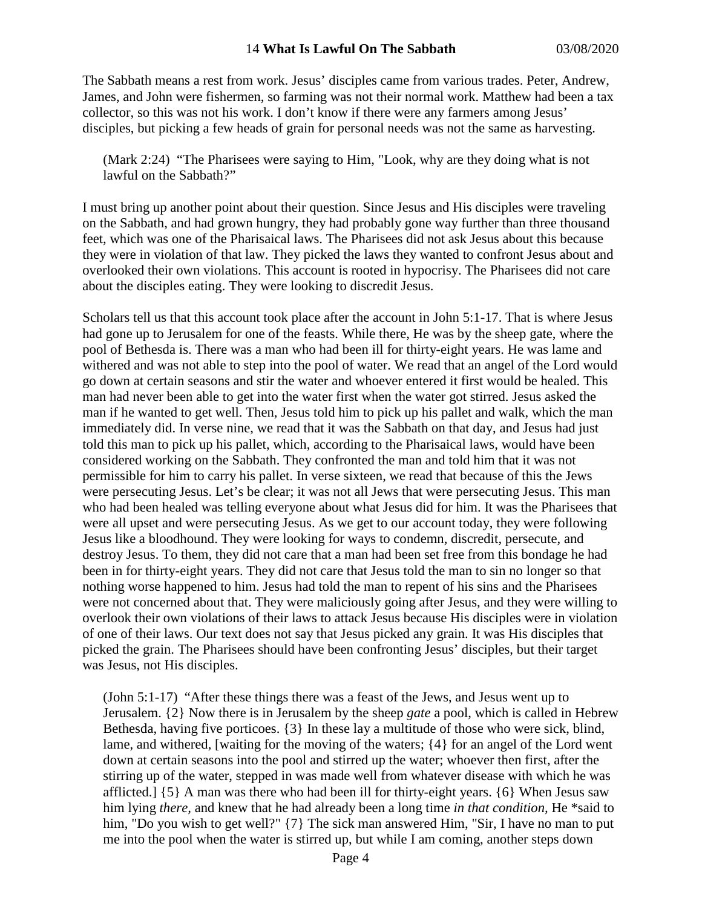#### 14 **What Is Lawful On The Sabbath** 03/08/2020

The Sabbath means a rest from work. Jesus' disciples came from various trades. Peter, Andrew, James, and John were fishermen, so farming was not their normal work. Matthew had been a tax collector, so this was not his work. I don't know if there were any farmers among Jesus' disciples, but picking a few heads of grain for personal needs was not the same as harvesting.

(Mark 2:24) "The Pharisees were saying to Him, "Look, why are they doing what is not lawful on the Sabbath?"

I must bring up another point about their question. Since Jesus and His disciples were traveling on the Sabbath, and had grown hungry, they had probably gone way further than three thousand feet, which was one of the Pharisaical laws. The Pharisees did not ask Jesus about this because they were in violation of that law. They picked the laws they wanted to confront Jesus about and overlooked their own violations. This account is rooted in hypocrisy. The Pharisees did not care about the disciples eating. They were looking to discredit Jesus.

Scholars tell us that this account took place after the account in John 5:1-17. That is where Jesus had gone up to Jerusalem for one of the feasts. While there, He was by the sheep gate, where the pool of Bethesda is. There was a man who had been ill for thirty-eight years. He was lame and withered and was not able to step into the pool of water. We read that an angel of the Lord would go down at certain seasons and stir the water and whoever entered it first would be healed. This man had never been able to get into the water first when the water got stirred. Jesus asked the man if he wanted to get well. Then, Jesus told him to pick up his pallet and walk, which the man immediately did. In verse nine, we read that it was the Sabbath on that day, and Jesus had just told this man to pick up his pallet, which, according to the Pharisaical laws, would have been considered working on the Sabbath. They confronted the man and told him that it was not permissible for him to carry his pallet. In verse sixteen, we read that because of this the Jews were persecuting Jesus. Let's be clear; it was not all Jews that were persecuting Jesus. This man who had been healed was telling everyone about what Jesus did for him. It was the Pharisees that were all upset and were persecuting Jesus. As we get to our account today, they were following Jesus like a bloodhound. They were looking for ways to condemn, discredit, persecute, and destroy Jesus. To them, they did not care that a man had been set free from this bondage he had been in for thirty-eight years. They did not care that Jesus told the man to sin no longer so that nothing worse happened to him. Jesus had told the man to repent of his sins and the Pharisees were not concerned about that. They were maliciously going after Jesus, and they were willing to overlook their own violations of their laws to attack Jesus because His disciples were in violation of one of their laws. Our text does not say that Jesus picked any grain. It was His disciples that picked the grain. The Pharisees should have been confronting Jesus' disciples, but their target was Jesus, not His disciples.

(John 5:1-17) "After these things there was a feast of the Jews, and Jesus went up to Jerusalem. {2} Now there is in Jerusalem by the sheep *gate* a pool, which is called in Hebrew Bethesda, having five porticoes. {3} In these lay a multitude of those who were sick, blind, lame, and withered, [waiting for the moving of the waters; {4} for an angel of the Lord went down at certain seasons into the pool and stirred up the water; whoever then first, after the stirring up of the water, stepped in was made well from whatever disease with which he was afflicted.] {5} A man was there who had been ill for thirty-eight years. {6} When Jesus saw him lying *there,* and knew that he had already been a long time *in that condition,* He \*said to him, "Do you wish to get well?" {7} The sick man answered Him, "Sir, I have no man to put me into the pool when the water is stirred up, but while I am coming, another steps down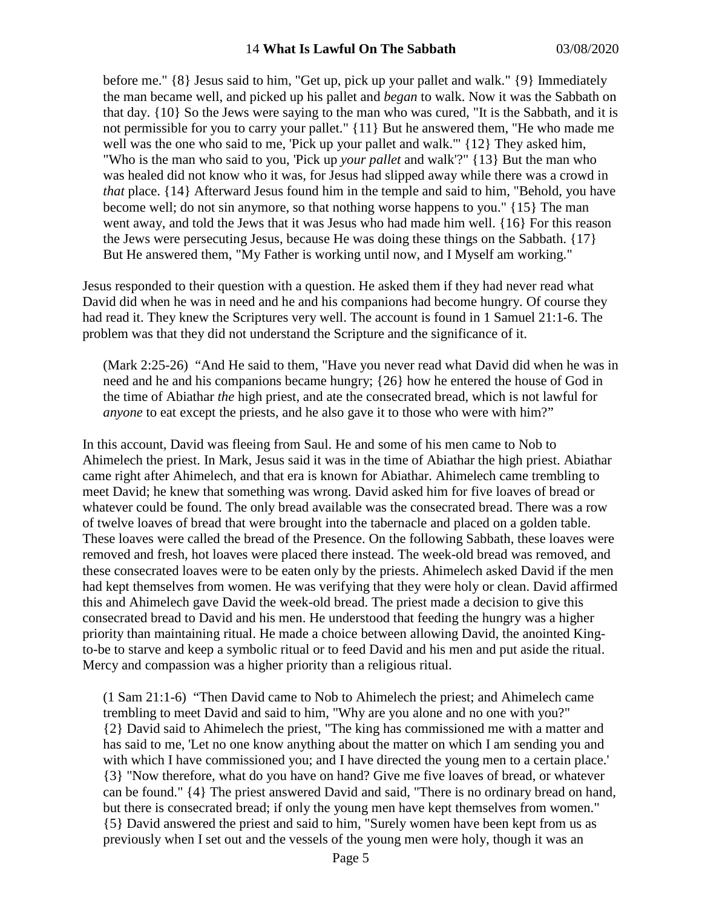before me." {8} Jesus said to him, "Get up, pick up your pallet and walk." {9} Immediately the man became well, and picked up his pallet and *began* to walk. Now it was the Sabbath on that day. {10} So the Jews were saying to the man who was cured, "It is the Sabbath, and it is not permissible for you to carry your pallet." {11} But he answered them, "He who made me well was the one who said to me, 'Pick up your pallet and walk.'" {12} They asked him, "Who is the man who said to you, 'Pick up *your pallet* and walk'?" {13} But the man who was healed did not know who it was, for Jesus had slipped away while there was a crowd in *that* place. {14} Afterward Jesus found him in the temple and said to him, "Behold, you have become well; do not sin anymore, so that nothing worse happens to you." {15} The man went away, and told the Jews that it was Jesus who had made him well. {16} For this reason the Jews were persecuting Jesus, because He was doing these things on the Sabbath. {17} But He answered them, "My Father is working until now, and I Myself am working."

Jesus responded to their question with a question. He asked them if they had never read what David did when he was in need and he and his companions had become hungry. Of course they had read it. They knew the Scriptures very well. The account is found in 1 Samuel 21:1-6. The problem was that they did not understand the Scripture and the significance of it.

(Mark 2:25-26) "And He said to them, "Have you never read what David did when he was in need and he and his companions became hungry; {26} how he entered the house of God in the time of Abiathar *the* high priest, and ate the consecrated bread, which is not lawful for *anyone* to eat except the priests, and he also gave it to those who were with him?"

In this account, David was fleeing from Saul. He and some of his men came to Nob to Ahimelech the priest. In Mark, Jesus said it was in the time of Abiathar the high priest. Abiathar came right after Ahimelech, and that era is known for Abiathar. Ahimelech came trembling to meet David; he knew that something was wrong. David asked him for five loaves of bread or whatever could be found. The only bread available was the consecrated bread. There was a row of twelve loaves of bread that were brought into the tabernacle and placed on a golden table. These loaves were called the bread of the Presence. On the following Sabbath, these loaves were removed and fresh, hot loaves were placed there instead. The week-old bread was removed, and these consecrated loaves were to be eaten only by the priests. Ahimelech asked David if the men had kept themselves from women. He was verifying that they were holy or clean. David affirmed this and Ahimelech gave David the week-old bread. The priest made a decision to give this consecrated bread to David and his men. He understood that feeding the hungry was a higher priority than maintaining ritual. He made a choice between allowing David, the anointed Kingto-be to starve and keep a symbolic ritual or to feed David and his men and put aside the ritual. Mercy and compassion was a higher priority than a religious ritual.

(1 Sam 21:1-6) "Then David came to Nob to Ahimelech the priest; and Ahimelech came trembling to meet David and said to him, "Why are you alone and no one with you?" {2} David said to Ahimelech the priest, "The king has commissioned me with a matter and has said to me, 'Let no one know anything about the matter on which I am sending you and with which I have commissioned you; and I have directed the young men to a certain place.' {3} "Now therefore, what do you have on hand? Give me five loaves of bread, or whatever can be found." {4} The priest answered David and said, "There is no ordinary bread on hand, but there is consecrated bread; if only the young men have kept themselves from women." {5} David answered the priest and said to him, "Surely women have been kept from us as previously when I set out and the vessels of the young men were holy, though it was an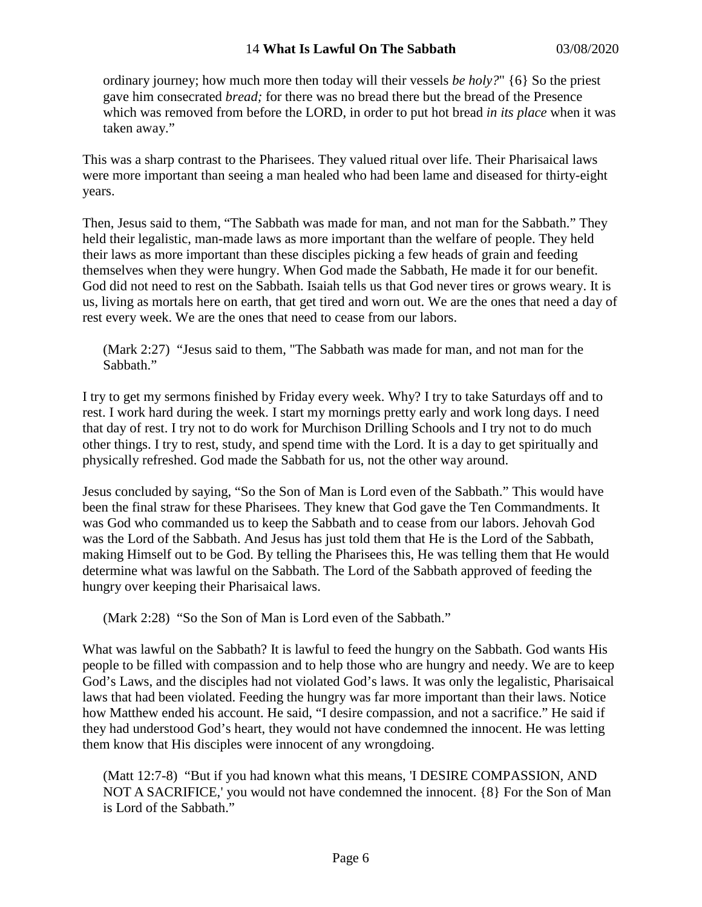### 14 **What Is Lawful On The Sabbath** 03/08/2020

ordinary journey; how much more then today will their vessels *be holy?*" {6} So the priest gave him consecrated *bread;* for there was no bread there but the bread of the Presence which was removed from before the LORD, in order to put hot bread *in its place* when it was taken away."

This was a sharp contrast to the Pharisees. They valued ritual over life. Their Pharisaical laws were more important than seeing a man healed who had been lame and diseased for thirty-eight years.

Then, Jesus said to them, "The Sabbath was made for man, and not man for the Sabbath." They held their legalistic, man-made laws as more important than the welfare of people. They held their laws as more important than these disciples picking a few heads of grain and feeding themselves when they were hungry. When God made the Sabbath, He made it for our benefit. God did not need to rest on the Sabbath. Isaiah tells us that God never tires or grows weary. It is us, living as mortals here on earth, that get tired and worn out. We are the ones that need a day of rest every week. We are the ones that need to cease from our labors.

(Mark 2:27) "Jesus said to them, "The Sabbath was made for man, and not man for the Sabbath."

I try to get my sermons finished by Friday every week. Why? I try to take Saturdays off and to rest. I work hard during the week. I start my mornings pretty early and work long days. I need that day of rest. I try not to do work for Murchison Drilling Schools and I try not to do much other things. I try to rest, study, and spend time with the Lord. It is a day to get spiritually and physically refreshed. God made the Sabbath for us, not the other way around.

Jesus concluded by saying, "So the Son of Man is Lord even of the Sabbath." This would have been the final straw for these Pharisees. They knew that God gave the Ten Commandments. It was God who commanded us to keep the Sabbath and to cease from our labors. Jehovah God was the Lord of the Sabbath. And Jesus has just told them that He is the Lord of the Sabbath, making Himself out to be God. By telling the Pharisees this, He was telling them that He would determine what was lawful on the Sabbath. The Lord of the Sabbath approved of feeding the hungry over keeping their Pharisaical laws.

(Mark 2:28) "So the Son of Man is Lord even of the Sabbath."

What was lawful on the Sabbath? It is lawful to feed the hungry on the Sabbath. God wants His people to be filled with compassion and to help those who are hungry and needy. We are to keep God's Laws, and the disciples had not violated God's laws. It was only the legalistic, Pharisaical laws that had been violated. Feeding the hungry was far more important than their laws. Notice how Matthew ended his account. He said, "I desire compassion, and not a sacrifice." He said if they had understood God's heart, they would not have condemned the innocent. He was letting them know that His disciples were innocent of any wrongdoing.

(Matt 12:7-8) "But if you had known what this means, 'I DESIRE COMPASSION, AND NOT A SACRIFICE,' you would not have condemned the innocent. {8} For the Son of Man is Lord of the Sabbath."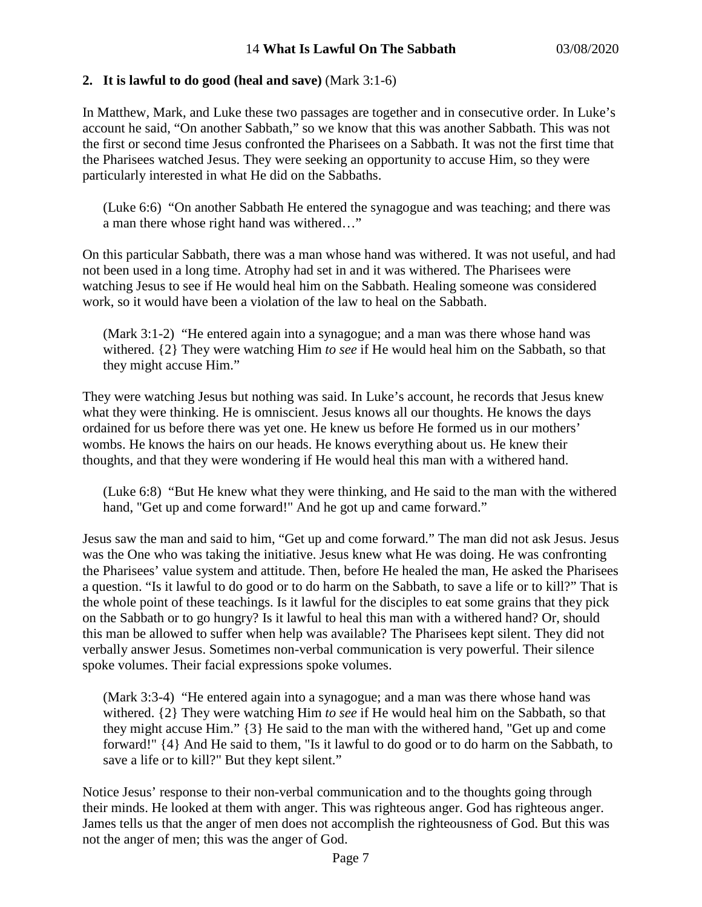### **2. It is lawful to do good (heal and save)** (Mark 3:1-6)

In Matthew, Mark, and Luke these two passages are together and in consecutive order. In Luke's account he said, "On another Sabbath," so we know that this was another Sabbath. This was not the first or second time Jesus confronted the Pharisees on a Sabbath. It was not the first time that the Pharisees watched Jesus. They were seeking an opportunity to accuse Him, so they were particularly interested in what He did on the Sabbaths.

(Luke 6:6) "On another Sabbath He entered the synagogue and was teaching; and there was a man there whose right hand was withered…"

On this particular Sabbath, there was a man whose hand was withered. It was not useful, and had not been used in a long time. Atrophy had set in and it was withered. The Pharisees were watching Jesus to see if He would heal him on the Sabbath. Healing someone was considered work, so it would have been a violation of the law to heal on the Sabbath.

(Mark 3:1-2) "He entered again into a synagogue; and a man was there whose hand was withered. {2} They were watching Him *to see* if He would heal him on the Sabbath, so that they might accuse Him."

They were watching Jesus but nothing was said. In Luke's account, he records that Jesus knew what they were thinking. He is omniscient. Jesus knows all our thoughts. He knows the days ordained for us before there was yet one. He knew us before He formed us in our mothers' wombs. He knows the hairs on our heads. He knows everything about us. He knew their thoughts, and that they were wondering if He would heal this man with a withered hand.

(Luke 6:8) "But He knew what they were thinking, and He said to the man with the withered hand, "Get up and come forward!" And he got up and came forward."

Jesus saw the man and said to him, "Get up and come forward." The man did not ask Jesus. Jesus was the One who was taking the initiative. Jesus knew what He was doing. He was confronting the Pharisees' value system and attitude. Then, before He healed the man, He asked the Pharisees a question. "Is it lawful to do good or to do harm on the Sabbath, to save a life or to kill?" That is the whole point of these teachings. Is it lawful for the disciples to eat some grains that they pick on the Sabbath or to go hungry? Is it lawful to heal this man with a withered hand? Or, should this man be allowed to suffer when help was available? The Pharisees kept silent. They did not verbally answer Jesus. Sometimes non-verbal communication is very powerful. Their silence spoke volumes. Their facial expressions spoke volumes.

(Mark 3:3-4) "He entered again into a synagogue; and a man was there whose hand was withered. {2} They were watching Him *to see* if He would heal him on the Sabbath, so that they might accuse Him." {3} He said to the man with the withered hand, "Get up and come forward!" {4} And He said to them, "Is it lawful to do good or to do harm on the Sabbath, to save a life or to kill?" But they kept silent."

Notice Jesus' response to their non-verbal communication and to the thoughts going through their minds. He looked at them with anger. This was righteous anger. God has righteous anger. James tells us that the anger of men does not accomplish the righteousness of God. But this was not the anger of men; this was the anger of God.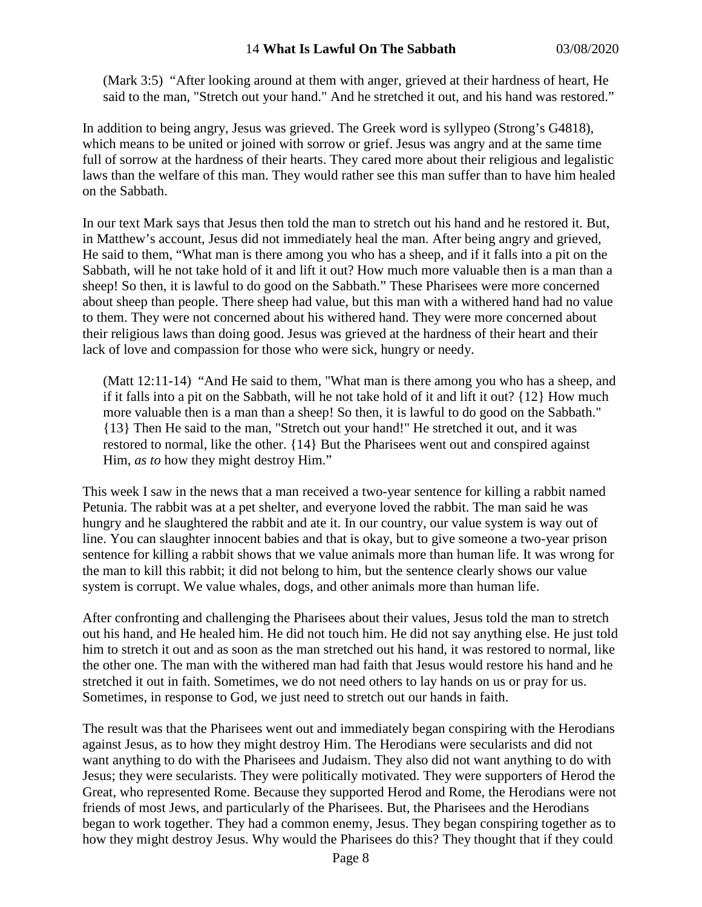(Mark 3:5) "After looking around at them with anger, grieved at their hardness of heart, He said to the man, "Stretch out your hand." And he stretched it out, and his hand was restored."

In addition to being angry, Jesus was grieved. The Greek word is syllypeo (Strong's G4818), which means to be united or joined with sorrow or grief. Jesus was angry and at the same time full of sorrow at the hardness of their hearts. They cared more about their religious and legalistic laws than the welfare of this man. They would rather see this man suffer than to have him healed on the Sabbath.

In our text Mark says that Jesus then told the man to stretch out his hand and he restored it. But, in Matthew's account, Jesus did not immediately heal the man. After being angry and grieved, He said to them, "What man is there among you who has a sheep, and if it falls into a pit on the Sabbath, will he not take hold of it and lift it out? How much more valuable then is a man than a sheep! So then, it is lawful to do good on the Sabbath." These Pharisees were more concerned about sheep than people. There sheep had value, but this man with a withered hand had no value to them. They were not concerned about his withered hand. They were more concerned about their religious laws than doing good. Jesus was grieved at the hardness of their heart and their lack of love and compassion for those who were sick, hungry or needy.

(Matt 12:11-14) "And He said to them, "What man is there among you who has a sheep, and if it falls into a pit on the Sabbath, will he not take hold of it and lift it out? {12} How much more valuable then is a man than a sheep! So then, it is lawful to do good on the Sabbath." {13} Then He said to the man, "Stretch out your hand!" He stretched it out, and it was restored to normal, like the other. {14} But the Pharisees went out and conspired against Him, *as to* how they might destroy Him."

This week I saw in the news that a man received a two-year sentence for killing a rabbit named Petunia. The rabbit was at a pet shelter, and everyone loved the rabbit. The man said he was hungry and he slaughtered the rabbit and ate it. In our country, our value system is way out of line. You can slaughter innocent babies and that is okay, but to give someone a two-year prison sentence for killing a rabbit shows that we value animals more than human life. It was wrong for the man to kill this rabbit; it did not belong to him, but the sentence clearly shows our value system is corrupt. We value whales, dogs, and other animals more than human life.

After confronting and challenging the Pharisees about their values, Jesus told the man to stretch out his hand, and He healed him. He did not touch him. He did not say anything else. He just told him to stretch it out and as soon as the man stretched out his hand, it was restored to normal, like the other one. The man with the withered man had faith that Jesus would restore his hand and he stretched it out in faith. Sometimes, we do not need others to lay hands on us or pray for us. Sometimes, in response to God, we just need to stretch out our hands in faith.

The result was that the Pharisees went out and immediately began conspiring with the Herodians against Jesus, as to how they might destroy Him. The Herodians were secularists and did not want anything to do with the Pharisees and Judaism. They also did not want anything to do with Jesus; they were secularists. They were politically motivated. They were supporters of Herod the Great, who represented Rome. Because they supported Herod and Rome, the Herodians were not friends of most Jews, and particularly of the Pharisees. But, the Pharisees and the Herodians began to work together. They had a common enemy, Jesus. They began conspiring together as to how they might destroy Jesus. Why would the Pharisees do this? They thought that if they could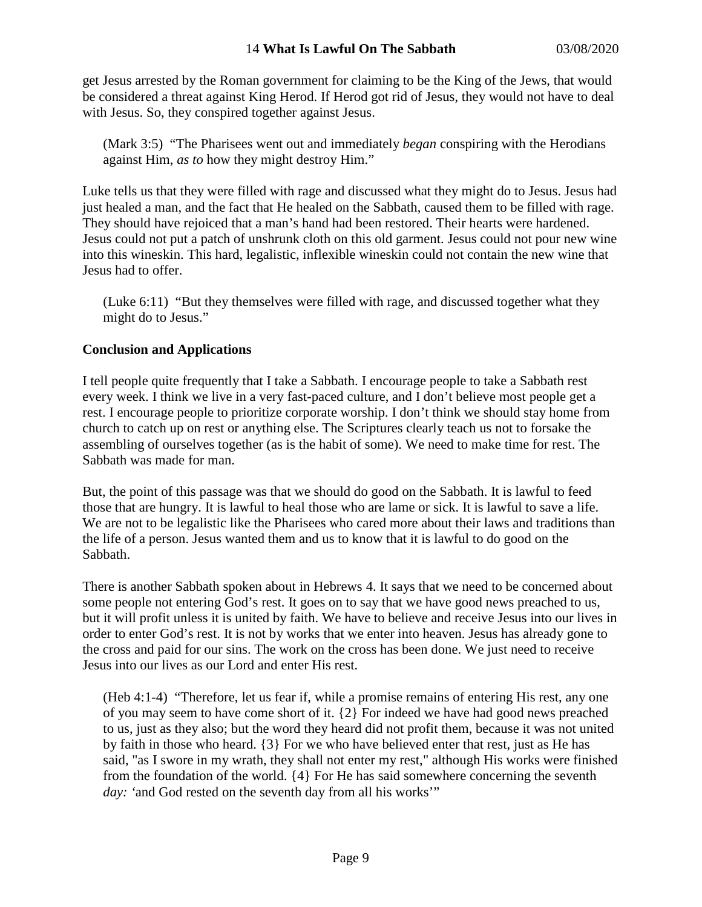get Jesus arrested by the Roman government for claiming to be the King of the Jews, that would be considered a threat against King Herod. If Herod got rid of Jesus, they would not have to deal with Jesus. So, they conspired together against Jesus.

(Mark 3:5) "The Pharisees went out and immediately *began* conspiring with the Herodians against Him, *as to* how they might destroy Him."

Luke tells us that they were filled with rage and discussed what they might do to Jesus. Jesus had just healed a man, and the fact that He healed on the Sabbath, caused them to be filled with rage. They should have rejoiced that a man's hand had been restored. Their hearts were hardened. Jesus could not put a patch of unshrunk cloth on this old garment. Jesus could not pour new wine into this wineskin. This hard, legalistic, inflexible wineskin could not contain the new wine that Jesus had to offer.

(Luke 6:11) "But they themselves were filled with rage, and discussed together what they might do to Jesus."

# **Conclusion and Applications**

I tell people quite frequently that I take a Sabbath. I encourage people to take a Sabbath rest every week. I think we live in a very fast-paced culture, and I don't believe most people get a rest. I encourage people to prioritize corporate worship. I don't think we should stay home from church to catch up on rest or anything else. The Scriptures clearly teach us not to forsake the assembling of ourselves together (as is the habit of some). We need to make time for rest. The Sabbath was made for man.

But, the point of this passage was that we should do good on the Sabbath. It is lawful to feed those that are hungry. It is lawful to heal those who are lame or sick. It is lawful to save a life. We are not to be legalistic like the Pharisees who cared more about their laws and traditions than the life of a person. Jesus wanted them and us to know that it is lawful to do good on the Sabbath.

There is another Sabbath spoken about in Hebrews 4. It says that we need to be concerned about some people not entering God's rest. It goes on to say that we have good news preached to us, but it will profit unless it is united by faith. We have to believe and receive Jesus into our lives in order to enter God's rest. It is not by works that we enter into heaven. Jesus has already gone to the cross and paid for our sins. The work on the cross has been done. We just need to receive Jesus into our lives as our Lord and enter His rest.

(Heb 4:1-4) "Therefore, let us fear if, while a promise remains of entering His rest, any one of you may seem to have come short of it. {2} For indeed we have had good news preached to us, just as they also; but the word they heard did not profit them, because it was not united by faith in those who heard. {3} For we who have believed enter that rest, just as He has said, "as I swore in my wrath, they shall not enter my rest," although His works were finished from the foundation of the world. {4} For He has said somewhere concerning the seventh *day: '*and God rested on the seventh day from all his works'"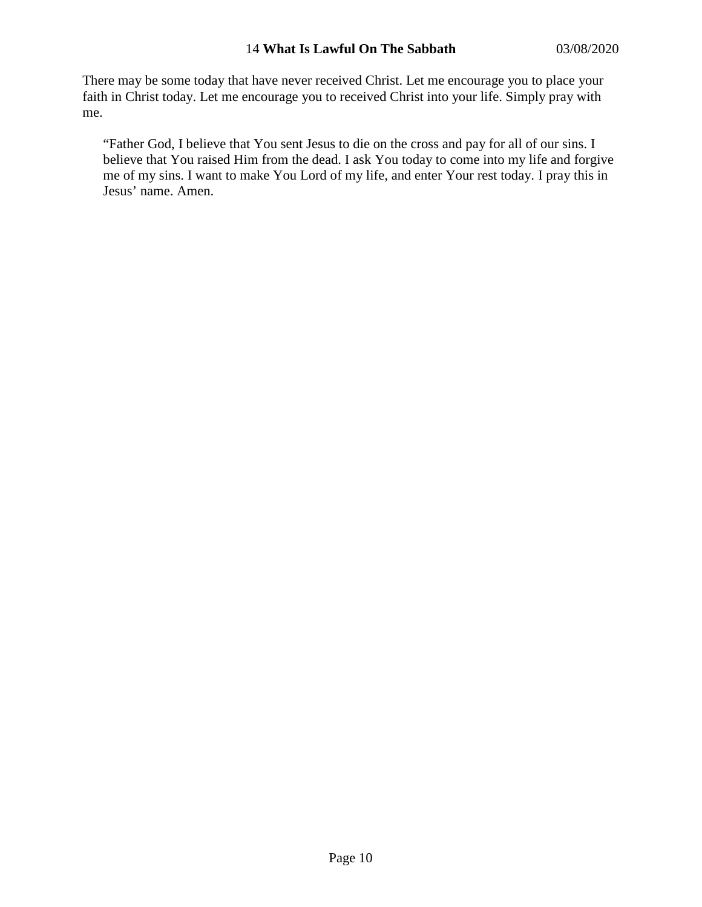#### 14 **What Is Lawful On The Sabbath** 03/08/2020

There may be some today that have never received Christ. Let me encourage you to place your faith in Christ today. Let me encourage you to received Christ into your life. Simply pray with me.

"Father God, I believe that You sent Jesus to die on the cross and pay for all of our sins. I believe that You raised Him from the dead. I ask You today to come into my life and forgive me of my sins. I want to make You Lord of my life, and enter Your rest today. I pray this in Jesus' name. Amen.